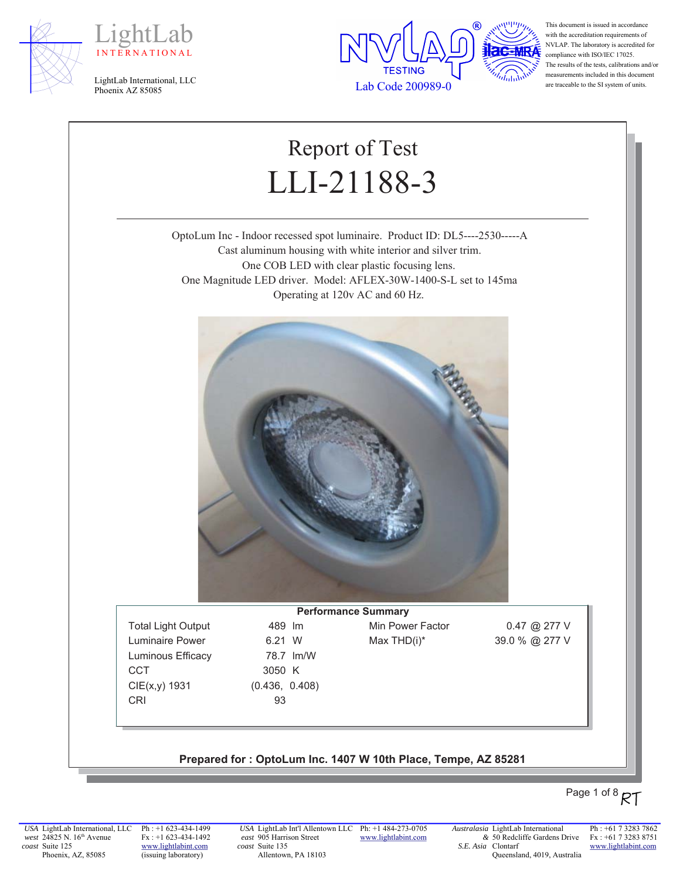





This document is issued in accordance with the accreditation requirements of NVLAP. The laboratory is accredited for compliance with ISO/IEC 17025. The results of the tests, calibrations and/or measurements included in this document are traceable to the SI system of units.

# Report of Test LLI-21188-3

OptoLum Inc - Indoor recessed spot luminaire. Product ID: DL5----2530-----A Cast aluminum housing with white interior and silver trim. One COB LED with clear plastic focusing lens. One Magnitude LED driver. Model: AFLEX-30W-1400-S-L set to 145ma Operating at 120v AC and 60 Hz.



Luminaire Power  $6.21 \, \text{W}$  Max THD(i)\*  $39.0 \, \%$   $277 \, \text{V}$ Luminous Efficacy 78.7 Im/W CCT 3050 K  $CIE(x,y)$  1931 (0.436, 0.408) CRI 93

**Performance Summary** Total Light Output 489 Im Min Power Factor 0.47 @ 277 V

#### Prepared for: OptoLum Inc. 1407 W 10th Place, Tempe, AZ 85281

# Page 1 of 8  $RT$

*USA* LightLab International, LLC *west* 24825 N. 16<sup>th</sup> Avenue *coast* Suite 125 Phoenix, AZ, 85085

Ph : +1 623-434-1499 Fx : +1 623-434-1492 www.lightlabint.com (issuing laboratory)

*USA* LightLab Int'l Allentown LLC Ph: +1 484-273-0705 *east* 905 Harrison Street *coast* Suite 135 Allentown, PA 18103

www.lightlabint.com

*Australasia* LightLab International *&* 50 Redcliffe Gardens Drive *S.E. Asia*  Clontarf Queensland, 4019, Australia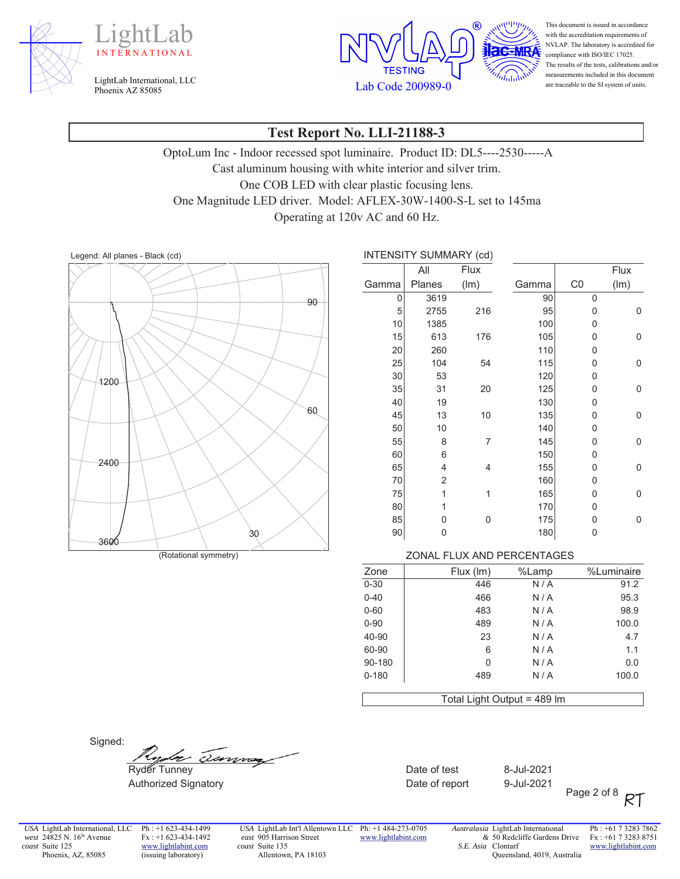





This document is issued in accordance with the accreditation requirements of NVLAP. The laboratory is accredited for compliance with ISO/IEC 17025. The results of the tests, calibrations and/or measurements included in this document are traceable to the SI system of units.

### **Test Report No. LLI-21188-3**

OptoLum Inc - Indoor recessed spot luminaire. Product ID: DL5----2530-----A Cast aluminum housing with white interior and silver trim. One COB LED with clear plastic focusing lens. One Magnitude LED driver. Model: AFLEX-30W-1400-S-L set to 145ma Operating at 120v AC and 60 Hz.



/HJHQG\$OOSODQHV%ODFNFG ,17(16,7<6800\$5<FG

|       | All    | Flux           |       |                | Flux |
|-------|--------|----------------|-------|----------------|------|
| Gamma | Planes | (lm)           | Gamma | C <sub>0</sub> | (lm) |
| 0     | 3619   |                | 90    | 0              |      |
| 5     | 2755   | 216            | 95    | 0              | 0    |
| 10    | 1385   |                | 100   | 0              |      |
| 15    | 613    | 176            | 105   | 0              | 0    |
| 20    | 260    |                | 110   | 0              |      |
| 25    | 104    | 54             | 115   | 0              | 0    |
| 30    | 53     |                | 120   | 0              |      |
| 35    | 31     | 20             | 125   | 0              | 0    |
| 40    | 19     |                | 130   | 0              |      |
| 45    | 13     | 10             | 135   | 0              | 0    |
| 50    | 10     |                | 140   | 0              |      |
| 55    | 8      | $\overline{7}$ | 145   | 0              | 0    |
| 60    | 6      |                | 150   | 0              |      |
| 65    | 4      | 4              | 155   | 0              | 0    |
| 70    | 2      |                | 160   | 0              |      |
| 75    | 1      | 1              | 165   | 0              | 0    |
| 80    | 1      |                | 170   | 0              |      |
| 85    | 0      | 0              | 175   | 0              | 0    |
| 90    | 0      |                | 180   | 0              |      |

#### (Rotational symmetry) **Example 2008** 20NAL FLUX AND PERCENTAGES

| %Luminaire | %Lamp | Flux (Im)                   | Zone      |
|------------|-------|-----------------------------|-----------|
| 91.2       | N/A   | 446                         | $0 - 30$  |
| 95.3       | N/A   | 466                         | $0 - 40$  |
| 98.9       | N/A   | 483                         | $0 - 60$  |
| 100.0      | N/A   | 489                         | $0 - 90$  |
| 4.7        | N/A   | 23                          | 40-90     |
| 1.1        | N/A   | 6                           | 60-90     |
| 0.0        | N/A   | 0                           | 90-180    |
| 100.0      | N/A   | 489                         | $0 - 180$ |
|            |       | Total Light Output = 489 Im |           |

Signed:

 $\frac{f_{\text{top}}}{f_{\text{top}}}$   $\frac{f_{\text{top}}}{f_{\text{top}}}$  - Date of test 8-Jul-2021

Authorized Signatory **Mathorized Signatory CONGLITED STATES CONGREGATE Date of report** 9-Jul-2021

Page 2 of 8 RT

*USA* LightLab International, LLC *west* 24825 N. 16<sup>th</sup> Avenue *coast* Suite 125 Phoenix, AZ, 85085

Ph : +1 623-434-1499 Fx : +1 623-434-1492 www.lightlabint.com (issuing laboratory)

*USA* LightLab Int'l Allentown LLC Ph: +1 484-273-0705 *east* 905 Harrison Street *coast* Suite 135 Allentown, PA 18103

www.lightlabint.com

*Australasia* LightLab International *&* 50 Redcliffe Gardens Drive *S.E. Asia*  Clontarf Queensland, 4019, Australia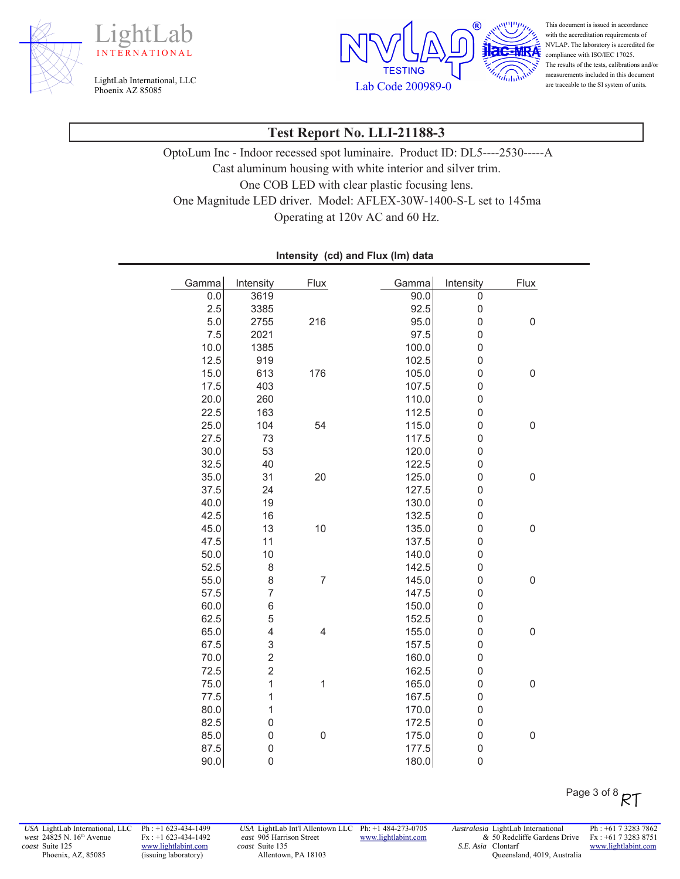





This document is issued in accordance with the accreditation requirements of NVLAP. The laboratory is accredited for compliance with ISO/IEC 17025. The results of the tests, calibrations and/or measurements included in this document are traceable to the SI system of units.

# **Test Report No. LLI-21188-3**

OptoLum Inc - Indoor recessed spot luminaire. Product ID: DL5----2530-----A Cast aluminum housing with white interior and silver trim. One COB LED with clear plastic focusing lens. One Magnitude LED driver. Model: AFLEX-30W-1400-S-L set to 145ma Operating at 120v AC and 60 Hz.

| Gamma | Intensity        | Flux                    | Gamma | Intensity      | Flux             |
|-------|------------------|-------------------------|-------|----------------|------------------|
| 0.0   | 3619             |                         | 90.0  | $\overline{0}$ |                  |
| 2.5   | 3385             |                         | 92.5  | $\mathbf 0$    |                  |
| 5.0   | 2755             | 216                     | 95.0  | $\mathbf 0$    | $\mathbf 0$      |
| 7.5   | 2021             |                         | 97.5  | $\mathbf 0$    |                  |
| 10.0  | 1385             |                         | 100.0 | $\mathbf 0$    |                  |
| 12.5  | 919              |                         | 102.5 | $\mathbf 0$    |                  |
| 15.0  | 613              | 176                     | 105.0 | $\mathbf 0$    | $\mathbf 0$      |
| 17.5  | 403              |                         | 107.5 | $\mathbf 0$    |                  |
| 20.0  | 260              |                         | 110.0 | $\mathbf 0$    |                  |
| 22.5  | 163              |                         | 112.5 | $\mathbf 0$    |                  |
| 25.0  | 104              | 54                      | 115.0 | $\mathbf 0$    | $\mathbf 0$      |
| 27.5  | 73               |                         | 117.5 | $\mathbf 0$    |                  |
| 30.0  | 53               |                         | 120.0 | $\mathbf 0$    |                  |
| 32.5  | 40               |                         | 122.5 | $\mathbf 0$    |                  |
| 35.0  | 31               | 20                      | 125.0 | $\mathbf 0$    | $\boldsymbol{0}$ |
| 37.5  | 24               |                         | 127.5 | $\mathbf 0$    |                  |
| 40.0  | 19               |                         | 130.0 | $\mathbf 0$    |                  |
| 42.5  | 16               |                         | 132.5 | $\mathbf 0$    |                  |
| 45.0  | 13               | 10                      | 135.0 | $\mathbf 0$    | $\mathbf 0$      |
| 47.5  | 11               |                         | 137.5 | $\mathbf 0$    |                  |
| 50.0  | 10               |                         | 140.0 | $\mathbf 0$    |                  |
| 52.5  | 8                |                         | 142.5 | $\mathbf 0$    |                  |
| 55.0  | 8                | $\overline{7}$          | 145.0 | $\mathbf 0$    | $\mathbf 0$      |
| 57.5  | $\overline{7}$   |                         | 147.5 | $\mathbf 0$    |                  |
| 60.0  | 6                |                         | 150.0 | $\mathbf 0$    |                  |
| 62.5  | 5                |                         | 152.5 | $\mathbf 0$    |                  |
| 65.0  | 4                | $\overline{\mathbf{4}}$ | 155.0 | $\mathbf 0$    | $\boldsymbol{0}$ |
| 67.5  | 3                |                         | 157.5 | $\mathbf 0$    |                  |
| 70.0  | $\overline{c}$   |                         | 160.0 | $\mathbf 0$    |                  |
| 72.5  | $\overline{c}$   |                         | 162.5 | $\mathbf 0$    |                  |
| 75.0  | $\overline{1}$   | $\mathbf{1}$            | 165.0 | $\mathbf 0$    | $\mathbf 0$      |
| 77.5  | $\mathbf{1}$     |                         | 167.5 | $\mathbf 0$    |                  |
| 80.0  | $\mathbf{1}$     |                         | 170.0 | $\mathbf 0$    |                  |
| 82.5  | $\mathbf 0$      |                         | 172.5 | $\mathbf 0$    |                  |
| 85.0  | $\boldsymbol{0}$ | $\boldsymbol{0}$        | 175.0 | $\mathbf 0$    | $\mathbf 0$      |
| 87.5  | 0                |                         | 177.5 | $\mathbf 0$    |                  |
| 90.0  | $\boldsymbol{0}$ |                         | 180.0 | $\mathbf 0$    |                  |

#### Intensity (cd) and Flux (Im) data

*USA* LightLab International, LLC *west* 24825 N. 16<sup>th</sup> Avenue *coast* Suite 125 Phoenix, AZ, 85085

Ph : +1 623-434-1499 Fx : +1 623-434-1492 www.lightlabint.com (issuing laboratory)

*USA* LightLab Int'l Allentown LLC Ph: +1 484-273-0705 *east* 905 Harrison Street *coast* Suite 135 Allentown, PA 18103

www.lightlabint.com

*Australasia* LightLab International *&* 50 Redcliffe Gardens Drive *S.E. Asia*  Clontarf Queensland, 4019, Australia

Ph : +61 7 3283 7862 Fx : +61 7 3283 8751 www.lightlabint.com

Page 3 of 8  $R$ T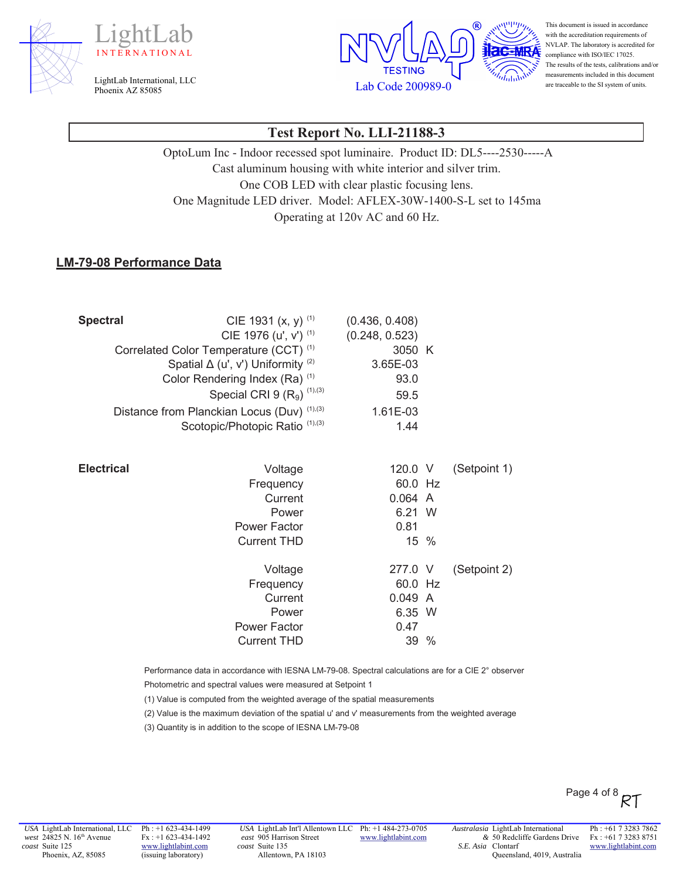





This document is issued in accordance with the accreditation requirements of NVLAP. The laboratory is accredited for compliance with ISO/IEC 17025. The results of the tests, calibrations and/or measurements included in this document are traceable to the SI system of units.

# **Test Report No. LLI-21188-3**

OptoLum Inc - Indoor recessed spot luminaire. Product ID: DL5----2530-----A Cast aluminum housing with white interior and silver trim. One COB LED with clear plastic focusing lens. One Magnitude LED driver. Model: AFLEX-30W-1400-S-L set to 145ma Operating at 120v AC and 60 Hz.

#### **LM-79-08 Performance Data**

| <b>Spectral</b>   | CIE 1931 $(x, y)$ <sup>(1)</sup>                  | (0.436, 0.408) |              |
|-------------------|---------------------------------------------------|----------------|--------------|
|                   | CIE 1976 (u', v') (1)                             | (0.248, 0.523) |              |
|                   | Correlated Color Temperature (CCT) <sup>(1)</sup> | 3050 K         |              |
|                   | Spatial $\Delta$ (u', v') Uniformity (2)          | 3.65E-03       |              |
|                   | Color Rendering Index (Ra) (1)                    | 93.0           |              |
|                   | Special CRI 9 $(R_9)$ <sup>(1),(3)</sup>          | 59.5           |              |
|                   | Distance from Planckian Locus (Duv) (1),(3)       | 1.61E-03       |              |
|                   | Scotopic/Photopic Ratio (1),(3)                   | 1.44           |              |
|                   |                                                   |                |              |
| <b>Electrical</b> | Voltage                                           | 120.0 V        | (Setpoint 1) |
|                   | Frequency                                         | 60.0 Hz        |              |
|                   | Current                                           | 0.064 A        |              |
|                   | Power                                             | 6.21 W         |              |
|                   | <b>Power Factor</b>                               | 0.81           |              |
|                   | <b>Current THD</b>                                | 15 %           |              |
|                   | Voltage                                           | 277.0 V        | (Setpoint 2) |
|                   | Frequency                                         | 60.0 Hz        |              |
|                   | Current                                           | 0.049 A        |              |
|                   | Power                                             | 6.35 W         |              |
|                   | <b>Power Factor</b>                               | 0.47           |              |
|                   | <b>Current THD</b>                                | 39 %           |              |

Performance data in accordance with IESNA LM-79-08. Spectral calculations are for a CIE 2° observer

Photometric and spectral values were measured at Setpoint 1

(1) Value is computed from the weighted average of the spatial measurements

(2) Value is the maximum deviation of the spatial u' and v' measurements from the weighted average

(3) Quantity is in addition to the scope of IESNA LM-79-08

Ph : +1 623-434-1499 Fx : +1 623-434-1492 www.lightlabint.com (issuing laboratory)

*USA* LightLab Int'l Allentown LLC Ph: +1 484-273-0705 *east* 905 Harrison Street *coast* Suite 135 Allentown, PA 18103

www.lightlabint.com

*Australasia* LightLab International *&* 50 Redcliffe Gardens Drive *S.E. Asia*  Clontarf Queensland, 4019, Australia

Ph : +61 7 3283 7862 Fx : +61 7 3283 8751 www.lightlabint.com

Page 4 of 8  $R$ T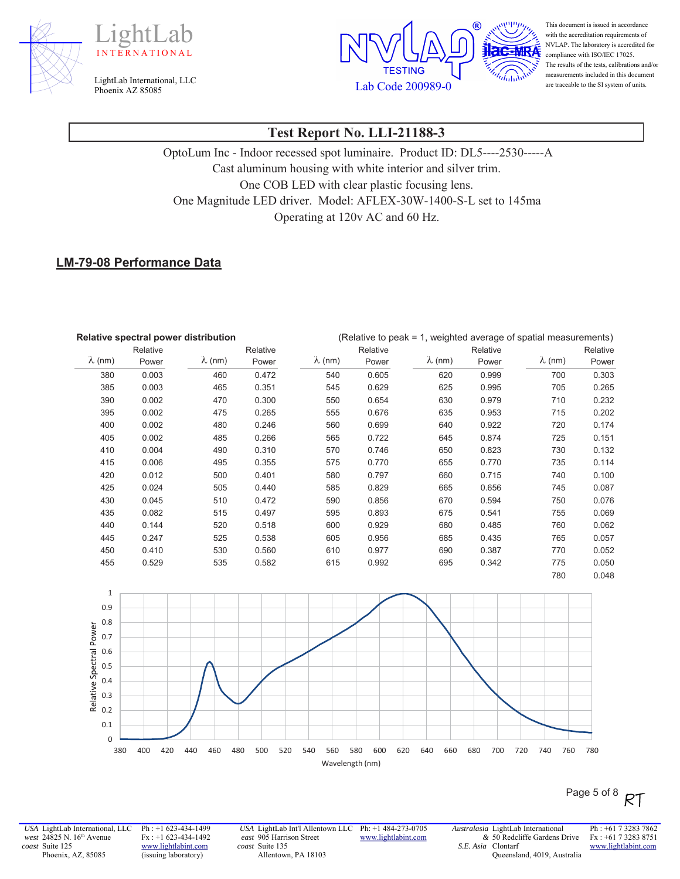





This document is issued in accordance with the accreditation requirements of NVLAP. The laboratory is accredited for compliance with ISO/IEC 17025. The results of the tests, calibrations and/or measurements included in this document are traceable to the SI system of units.

# **Test Report No. LLI-21188-3**

OptoLum Inc - Indoor recessed spot luminaire. Product ID: DL5----2530-----A Cast aluminum housing with white interior and silver trim. One COB LED with clear plastic focusing lens. One Magnitude LED driver. Model: AFLEX-30W-1400-S-L set to 145ma Operating at 120v AC and 60 Hz.

#### **LM-79-08 Performance Data**

| Relative spectral power distribution |          |                | (Relative to peak = 1, weighted average of spatial measurements) |                |          |                |          |                |          |
|--------------------------------------|----------|----------------|------------------------------------------------------------------|----------------|----------|----------------|----------|----------------|----------|
|                                      | Relative |                | Relative                                                         |                | Relative |                | Relative |                | Relative |
| $\lambda$ (nm)                       | Power    | $\lambda$ (nm) | Power                                                            | $\lambda$ (nm) | Power    | $\lambda$ (nm) | Power    | $\lambda$ (nm) | Power    |
| 380                                  | 0.003    | 460            | 0.472                                                            | 540            | 0.605    | 620            | 0.999    | 700            | 0.303    |
| 385                                  | 0.003    | 465            | 0.351                                                            | 545            | 0.629    | 625            | 0.995    | 705            | 0.265    |
| 390                                  | 0.002    | 470            | 0.300                                                            | 550            | 0.654    | 630            | 0.979    | 710            | 0.232    |
| 395                                  | 0.002    | 475            | 0.265                                                            | 555            | 0.676    | 635            | 0.953    | 715            | 0.202    |
| 400                                  | 0.002    | 480            | 0.246                                                            | 560            | 0.699    | 640            | 0.922    | 720            | 0.174    |
| 405                                  | 0.002    | 485            | 0.266                                                            | 565            | 0.722    | 645            | 0.874    | 725            | 0.151    |
| 410                                  | 0.004    | 490            | 0.310                                                            | 570            | 0.746    | 650            | 0.823    | 730            | 0.132    |
| 415                                  | 0.006    | 495            | 0.355                                                            | 575            | 0.770    | 655            | 0.770    | 735            | 0.114    |
| 420                                  | 0.012    | 500            | 0.401                                                            | 580            | 0.797    | 660            | 0.715    | 740            | 0.100    |
| 425                                  | 0.024    | 505            | 0.440                                                            | 585            | 0.829    | 665            | 0.656    | 745            | 0.087    |
| 430                                  | 0.045    | 510            | 0.472                                                            | 590            | 0.856    | 670            | 0.594    | 750            | 0.076    |
| 435                                  | 0.082    | 515            | 0.497                                                            | 595            | 0.893    | 675            | 0.541    | 755            | 0.069    |
| 440                                  | 0.144    | 520            | 0.518                                                            | 600            | 0.929    | 680            | 0.485    | 760            | 0.062    |
| 445                                  | 0.247    | 525            | 0.538                                                            | 605            | 0.956    | 685            | 0.435    | 765            | 0.057    |
| 450                                  | 0.410    | 530            | 0.560                                                            | 610            | 0.977    | 690            | 0.387    | 770            | 0.052    |
| 455                                  | 0.529    | 535            | 0.582                                                            | 615            | 0.992    | 695            | 0.342    | 775            | 0.050    |
|                                      |          |                |                                                                  |                |          |                |          | 780            | 0.048    |



Page 5 of 8 RT

*USA* LightLab International, LLC *west* 24825 N. 16<sup>th</sup> Avenue *coast* Suite 125 Phoenix, AZ, 85085

Ph : +1 623-434-1499 Fx : +1 623-434-1492 www.lightlabint.com (issuing laboratory)

*USA* LightLab Int'l Allentown LLC Ph: +1 484-273-0705 *east* 905 Harrison Street *coast* Suite 135 Allentown, PA 18103

www.lightlabint.com

*Australasia* LightLab International *&* 50 Redcliffe Gardens Drive *S.E. Asia*  Clontarf Queensland, 4019, Australia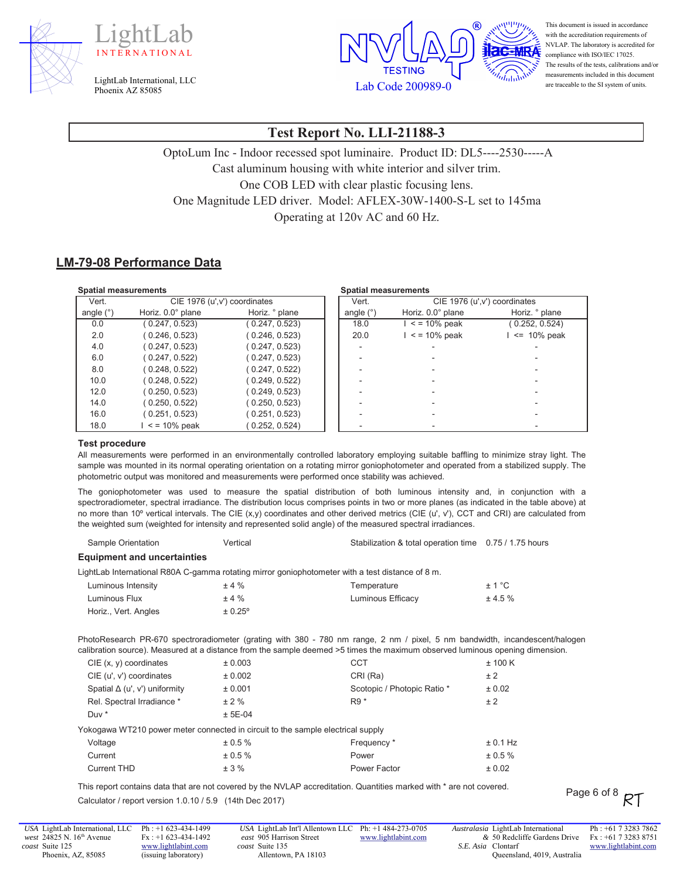





This document is issued in accordance with the accreditation requirements of NVLAP. The laboratory is accredited for compliance with ISO/IEC 17025. The results of the tests, calibrations and/or measurements included in this document are traceable to the SI system of units.

# **Test Report No. LLI-21188-3**

OptoLum Inc - Indoor recessed spot luminaire. Product ID: DL5----2530-----A Cast aluminum housing with white interior and silver trim. One COB LED with clear plastic focusing lens. One Magnitude LED driver. Model: AFLEX-30W-1400-S-L set to 145ma Operating at 120v AC and 60 Hz.

#### **LM-79-08 Performance Data**

| <b>Spatial measurements</b> |                               |                | <b>Spatial measurements</b> |                   |                               |
|-----------------------------|-------------------------------|----------------|-----------------------------|-------------------|-------------------------------|
| Vert.                       | CIE 1976 (u', v') coordinates |                | Vert.                       |                   | CIE 1976 (u', v') coordinates |
| angle (°)                   | Horiz. 0.0° plane             | Horiz. ° plane | angle $(°)$                 | Horiz. 0.0° plane | Horiz. ° plane                |
| 0.0                         | 0.247, 0.523                  | 0.247, 0.523   | 18.0                        | $\le$ = 10% peak  | (0.252, 0.524)                |
| 2.0                         | 0.246, 0.523                  | 0.246, 0.523   | 20.0                        | $\le$ = 10% peak  | $\le$ 10% peak                |
| 4.0                         | 0.247, 0.523                  | 0.247, 0.523   |                             |                   |                               |
| 6.0                         | 0.247, 0.522                  | (0.247, 0.523) |                             |                   |                               |
| 8.0                         | 0.248, 0.522                  | (0.247, 0.522) |                             |                   |                               |
| 10.0                        | 0.248, 0.522                  | (0.249, 0.522) |                             |                   |                               |
| 12.0                        | 0.250, 0.523                  | (0.249, 0.523) |                             |                   |                               |
| 14.0                        | 0.250, 0.522                  | (0.250, 0.523) |                             |                   |                               |
| 16.0                        | 0.251, 0.523                  | (0.251, 0.523) |                             |                   |                               |
| 18.0                        | $\le$ = 10% peak              | 0.252, 0.524)  |                             |                   |                               |

#### **Test procedure**

All measurements were performed in an environmentally controlled laboratory employing suitable baffling to minimize stray light. The sample was mounted in its normal operating orientation on a rotating mirror goniophotometer and operated from a stabilized supply. The photometric output was monitored and measurements were performed once stability was achieved.

The goniophotometer was used to measure the spatial distribution of both luminous intensity and, in conjunction with a spectroradiometer, spectral irradiance. The distribution locus comprises points in two or more planes (as indicated in the table above) at no more than 10º vertical intervals. The CIE (x,y) coordinates and other derived metrics (CIE (u', v'), CCT and CRI) are calculated from the weighted sum (weighted for intensity and represented solid angle) of the measured spectral irradiances.

Sample Orientation **6DPS** Vertical vertical between the Stabilization & total operation time 0.75 / 1.75 hours

| <b>Equipment and uncertainties</b>                                              |           |                                                                                                                                                                                                                                                             |            |
|---------------------------------------------------------------------------------|-----------|-------------------------------------------------------------------------------------------------------------------------------------------------------------------------------------------------------------------------------------------------------------|------------|
|                                                                                 |           | LightLab International R80A C-gamma rotating mirror goniophotometer with a test distance of 8 m.                                                                                                                                                            |            |
| Luminous Intensity                                                              | ±4%       | Temperature                                                                                                                                                                                                                                                 | ± 1 °C     |
| Luminous Flux                                                                   | ±4%       | Luminous Efficacy                                                                                                                                                                                                                                           | ± 4.5%     |
| Horiz., Vert. Angles                                                            | ± 0.25°   |                                                                                                                                                                                                                                                             |            |
|                                                                                 |           | PhotoResearch PR-670 spectroradiometer (grating with 380 - 780 nm range, 2 nm / pixel, 5 nm bandwidth, incandescent/halogen<br>calibration source). Measured at a distance from the sample deemed >5 times the maximum observed luminous opening dimension. |            |
| $CIE$ (x, y) coordinates                                                        | ± 0.003   | <b>CCT</b>                                                                                                                                                                                                                                                  | ± 100 K    |
| CIE (u', v') coordinates                                                        | ± 0.002   | CRI (Ra)                                                                                                                                                                                                                                                    | ± 2        |
| Spatial $\Delta$ (u', v') uniformity                                            | ± 0.001   | Scotopic / Photopic Ratio *                                                                                                                                                                                                                                 | ± 0.02     |
| Rel. Spectral Irradiance *                                                      | ± 2%      | $R9*$                                                                                                                                                                                                                                                       | ± 2        |
| Duv *                                                                           | $± 5E-04$ |                                                                                                                                                                                                                                                             |            |
| Yokogawa WT210 power meter connected in circuit to the sample electrical supply |           |                                                                                                                                                                                                                                                             |            |
| Voltage                                                                         | ± 0.5 %   | Frequency *                                                                                                                                                                                                                                                 | $± 0.1$ Hz |
| Current                                                                         | ± 0.5 %   | Power                                                                                                                                                                                                                                                       | $± 0.5 \%$ |
| <b>Current THD</b>                                                              | ± 3%      | Power Factor                                                                                                                                                                                                                                                | ± 0.02     |

This report contains data that are not covered by the NVLAP accreditation. Quantities marked with \* are not covered. Calculator / report version 1.0.10 / 5.9 (14th Dec 2017)

*USA* LightLab International, LLC *west* 24825 N. 16<sup>th</sup> Avenue *coast* Suite 125 Phoenix, AZ, 85085

Ph : +1 623-434-1499 Fx : +1 623-434-1492 www.lightlabint.com (issuing laboratory)

*USA* LightLab Int'l Allentown LLC Ph: +1 484-273-0705 *east* 905 Harrison Street *coast* Suite 135 Allentown, PA 18103 www.lightlabint.com *Australasia* LightLab International *&* 50 Redcliffe Gardens Drive *S.E. Asia*  Clontarf Queensland, 4019, Australia Ph : +61 7 3283 7862 Fx : +61 7 3283 8751 www.lightlabint.com

Page 6 of 8  $RT$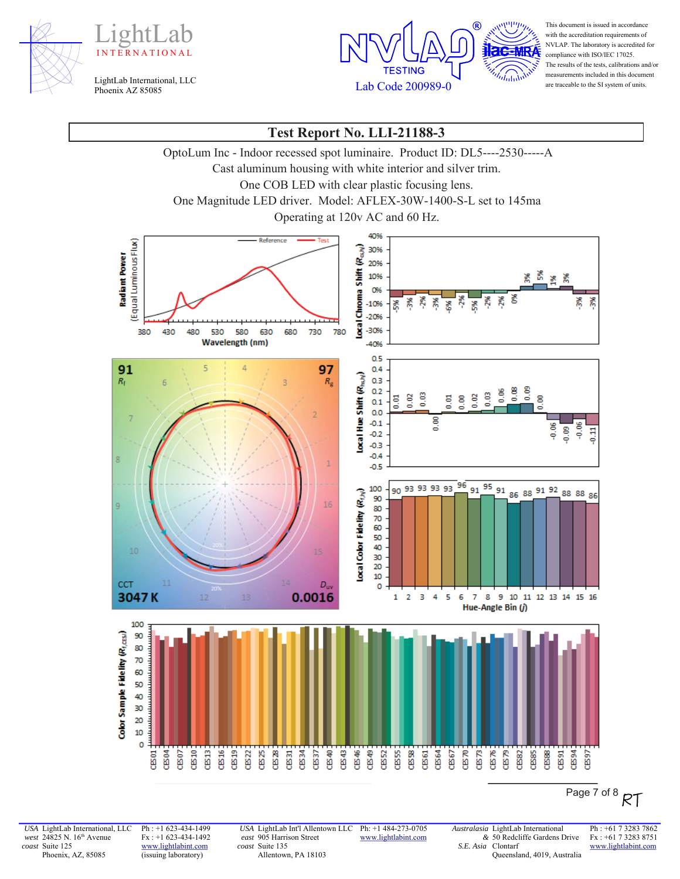





This document is issued in accordance with the accreditation requirements of NVLAP. The laboratory is accredited for compliance with ISO/IEC 17025. The results of the tests, calibrations and/or measurements included in this document are traceable to the SI system of units.

# **Test Report No. LLI-21188-3**

OptoLum Inc - Indoor recessed spot luminaire. Product ID: DL5----2530-----A

Cast aluminum housing with white interior and silver trim.

One COB LED with clear plastic focusing lens.

One Magnitude LED driver. Model: AFLEX-30W-1400-S-L set to 145ma

Operating at 120v AC and 60 Hz.



Page 7 of 8  $RT$ 

*USA* LightLab International, LLC *west* 24825 N. 16<sup>th</sup> Avenue *coast* Suite 125 Phoenix, AZ, 85085

Ph : +1 623-434-1499 Fx : +1 623-434-1492 www.lightlabint.com (issuing laboratory)

*USA* LightLab Int'l Allentown LLC *east* 905 Harrison Street *coast* Suite 135 Allentown, PA 18103

Ph: +1 484-273-0705 www.lightlabint.com

*&* 50 Redcliffe Gardens Drive *S.E. Asia*  Clontarf Queensland, 4019, Australia

*Australasia* LightLab International